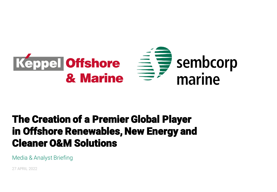

# The Creation of a Premier Global Player in Offshore Renewables, New Energy and Cleaner O&M Solutions

Media & Analyst Briefing

27 APRIL 2022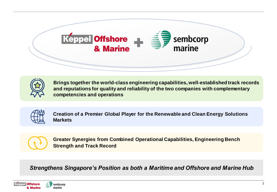



**Brings together the world-class engineering capabilities, well-established track records and reputations for quality and reliability of the two companies with complementary competencies and operations**



**Creation of a Premier Global Player for the Renewable and Clean Energy Solutions Markets**



**Greater Synergies from Combined Operational Capabilities, Engineering Bench Strength and Track Record**

*Strengthens Singapore's Position as both a Maritime and Offshore and Marine Hub*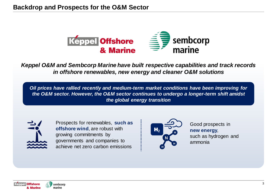

*Keppel O&M and Sembcorp Marine have built respective capabilities and track records in offshore renewables, new energy and cleaner O&M solutions* 

*Oil prices have rallied recently and medium-term market conditions have been improving for the O&M sector. However, the O&M sector continues to undergo a longer-term shift amidst the global energy transition* 



Prospects for renewables, **such as offshore wind**, are robust with growing commitments by governments and companies to achieve net zero carbon emissions



Good prospects in **new energy**, such as hydrogen and ammonia

sembcorp marine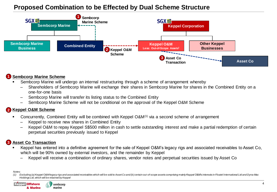# **Proposed Combination to be Effected by Dual Scheme Structure**



#### **Sembcorp Marine Scheme 1**

- Sembcorp Marine will undergo an internal restructuring through a scheme of arrangement whereby
	- Shareholders of Sembcorp Marine will exchange their shares in Sembcorp Marine for shares in the Combined Entity on a one-for-one basis
	- Sembcorp Marine will transfer its listing status to the Combined Entity
	- ‒ Sembcorp Marine Scheme will not be conditional on the approval of the Keppel O&M Scheme

#### **Keppel O&M Scheme 2**

- Concurrently, Combined Entity will be combined with Keppel O&M<sup>(1)</sup> via a second scheme of arrangement
	- ‒ Keppel to receive new shares in Combined Entity
	- ‒ Keppel O&M to repay Keppel S\$500 million in cash to settle outstanding interest and make a partial redemption of certain perpetual securities previously issued to Keppel

## **Asset Co Transaction 3**

- Keppel has entered into a definitive agreement for the sale of Keppel O&M's legacy rigs and associated receivables to Asset Co, which will be 90% owned by external investors, and the remainder by Keppel
	- ‒ Keppel will receive a combination of ordinary shares, vendor notes and perpetual securities issued by Asset Co

*Notes:*



Excluding (a) Keppel O&Mlegacy rigs and associated receivables which will be sold to Asset Co and (b) certain out-of-scope assets comprising mainly Keppel O&M's interests in Floatel International Ltd and Dyna-Mac *Holdings Ltd, which will be retained by Keppel*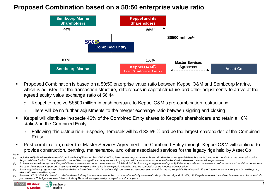# **Proposed Combination based on a 50:50 enterprise value ratio**



- Proposed Combination is based on a 50:50 enterprise value ratio between Keppel O&M and Sembcorp Marine, which is adjusted for the transaction structure, differences in capital structure and other adjustments to arrive at the agreed equity value exchange ratio of 56:44
	- o Keppel to receive S\$500 million in cash pursuant to Keppel O&M's pre-combination restructuring
	- $\circ$  There will be no further adjustments to the merger exchange ratio between signing and closing
- Keppel will distribute in-specie 46% of the Combined Entity shares to Keppel's shareholders and retain a 10% stake<sup>(1)</sup> in the Combined Entity
	- $\circ$  Following this distribution-in-specie, Temasek will hold 33.5%<sup>(4)</sup> and be the largest shareholder of the Combined Entity
- Post-combination, under the Master Services Agreement, the Combined Entity through Keppel O&M will continue to provide construction, berthing, maintenance, and other associated services for the legacy rigs held by Asset Co
- *Notes:*

sembcorp

marine

<sup>(1)</sup> Includes 10% of the issued shares of Combined Entity ("Retained Stake") that will be placed in a segregated account for certa in identified contingent liabilities for a period of up to 48 months from the completion of *Proposed Combination. This segregated account will be managed by an independent third party who will have authority to monetise the Retained Stake based on pre-defined parameters*

<sup>(2)</sup> To finance the cash component, Keppel O&Mhas entered into a commitment letter with DBS Bank Ltd. for financing arrangements of up to S\$500 million, subject to the satisfaction of the terms and conditions contained in *the commitment letter. Keppel O&M reserves the right to explore alternative financing options leading up to the completion of the Proposed Combination*

<sup>(3)</sup> Excluding (a) legacy rigs and associated receivables which will be sold to Asset Co and (b) certain out-of-scope assets comprising mainly Keppel O&M's interests in Floatel International Ltd and Dyna-Mac Holdings Ltd, *which will be retained by Keppel*

<sup>(4)</sup> Based on 17,131,025,958 SembCorp Marine shares heldby Startree Investments Pte. Ltd., an indirect wholly-owned subsidiary of Temasek, and 371,408,292 Keppel shares held directly by Temasek as at the date of this *press release. This figure excludes interests held by Temasek's independently-managed portfolio companies.*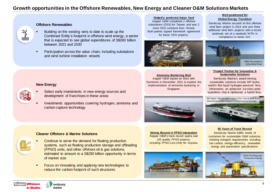# **Growth opportunities in the Offshore Renewables, New Energy and Cleaner O&M Solutions Markets**



#### **Offshore Renewables**

- Building on the existing wins to date to scale up the Combined Entity's footprint in offshore wind energy, a sector that is expected to see global expenditures of S\$260 billion between 2021 and 2030
- Participation across the value chain, including substations and wind turbine installation vessels

#### **Orsted's preferred Asian Yard**

Keppel O&M completed 2 offshore substations (OSS) for Taiwan and won 2 more OSS contracts from Orsted. Both parties signed framework agreement for future OSS projects.



**Ammonia Bunkering MoU** Keppel O&M signed an MoU with Sumitomo in December 2021 to explore the implementation of ammonia bunkering in Singapore.

#### **Well-positioned for Global Energy Transition**

Sembcorp Marine secured its first offshore wind farm project in 2014 and won three additional wind farm projects with a recent landmark win of a newbuild WTIV in compliance to Jones Act.



#### **Trusted Partner for Innovative & Sustainable Solutions**

Sembcorp Marine's award-winning sustainable solutions include MF Hydra, world's first liquid hydrogen-powered ferry; Ultramarine, an advanced ice-class polar expedition ship & Hjellestad, a hybrid ferry.

MF Hydra: Skipsrevyen's Ship of the Year & Work Boat World Best of 2021 Award for Best Medium Ro-Pax



## **60 Years of Track Record**

Sembcorp Marine fulfills needs of customers for sustainable O&M solutions, meeting stringent requirements including low carbon, energy-efficiency, renewable energy and automation specifications.



#### **New Energy**

- 
- Select early investments in new energy sources and development of franchises in these areas
- Investments opportunities covering hydrogen, ammonia and carbon capture technology

### **Cleaner Offshore & Marine Solutions**

- 
- Continue to serve the demand for floating production systems, such as floating production storage and offloading (FPSO) units, and other offshore oil & gas solutions, estimated to amount to a S\$290 billion opportunity in terms of market size
- Focus on innovating and applying new technologies to reduce the carbon footprint of such structures

**Strong Record in FPSO integration** Keppel O&M's track record spans over 120 quality FPSO projects, including FPSO Liza Unity for Guyana.



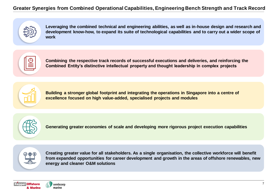# **Greater Synergies from Combined Operational Capabilities, Engineering Bench Strength and Track Record**



**Leveraging the combined technical and engineering abilities, as well as in-house design and research and development know-how, to expand its suite of technological capabilities and to carry out a wider scope of work**



**Combining the respective track records of successful executions and deliveries, and reinforcing the Combined Entity's distinctive intellectual property and thought leadership in complex projects**



**Building a stronger global footprint and integrating the operations in Singapore into a centre of excellence focused on high value-added, specialised projects and modules**



**Generating greater economies of scale and developing more rigorous project execution capabilities**



**Creating greater value for all stakeholders. As a single organisation, the collective workforce will benefit from expanded opportunities for career development and growth in the areas of offshore renewables, new energy and cleaner O&M solutions**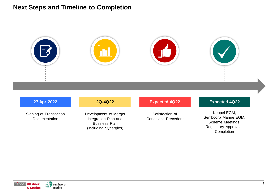

Signing of Transaction **Documentation** 

Development of Merger Integration Plan and Business Plan (including Synergies)

Satisfaction of Conditions Precedent

### Keppel EGM, Sembcorp Marine EGM, Scheme Meetings, Regulatory Approvals, Completion